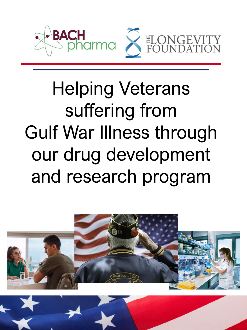

# Helping Veterans suffering from Gulf War Illness through our drug development and research program

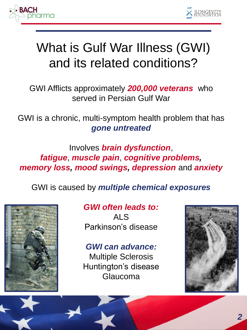



# What is Gulf War Illness (GWI) and its related conditions?

GWI Afflicts approximately *200,000 veterans* who served in Persian Gulf War

GWI is a chronic, multi-symptom health problem that has *gone untreated*

Involves *brain dysfunction*, *fatigue*, *muscle pain*, *cognitive problems, memory loss, mood swings, depression* and *anxiety*

GWI is caused by *multiple chemical exposures*



*GWI often leads to:* ALS Parkinson's disease

*GWI can advance:* Multiple Sclerosis Huntington's disease Glaucoma

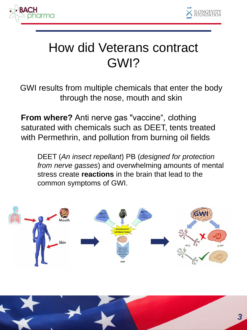



# How did Veterans contract GWI?

GWI results from multiple chemicals that enter the body through the nose, mouth and skin

**From where?** Anti nerve gas "vaccine", clothing saturated with chemicals such as DEET, tents treated with Permethrin, and pollution from burning oil fields

DEET (*An insect repellant*) PB (*designed for protection from nerve gasses*) and overwhelming amounts of mental stress create **reactions** in the brain that lead to the common symptoms of GWI.



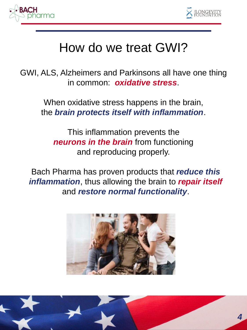



### How do we treat GWI?

GWI, ALS, Alzheimers and Parkinsons all have one thing in common: *oxidative stress*.

> When oxidative stress happens in the brain, the *brain protects itself with inflammation*.

This inflammation prevents the **neurons in the brain** from functioning and reproducing properly.

Bach Pharma has proven products that *reduce this inflammation*, thus allowing the brain to *repair itself*  and *restore normal functionality*.



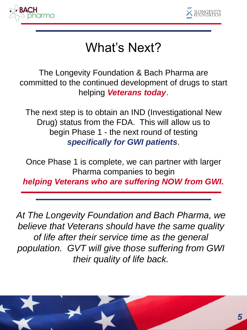



#### What's Next?

The Longevity Foundation & Bach Pharma are committed to the continued development of drugs to start helping *Veterans today*.

The next step is to obtain an IND (Investigational New Drug) status from the FDA. This will allow us to begin Phase 1 - the next round of testing *specifically for GWI patients*.

Once Phase 1 is complete, we can partner with larger Pharma companies to begin

*helping Veterans who are suffering NOW from GWI.* 

*At The Longevity Foundation and Bach Pharma, we believe that Veterans should have the same quality of life after their service time as the general population. GVT will give those suffering from GWI their quality of life back.*

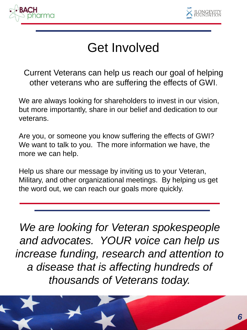



# Get Involved

Current Veterans can help us reach our goal of helping other veterans who are suffering the effects of GWI.

We are always looking for shareholders to invest in our vision, but more importantly, share in our belief and dedication to our veterans.

Are you, or someone you know suffering the effects of GWI? We want to talk to you. The more information we have, the more we can help.

Help us share our message by inviting us to your Veteran, Military, and other organizational meetings. By helping us get the word out, we can reach our goals more quickly.

*We are looking for Veteran spokespeople and advocates. YOUR voice can help us increase funding, research and attention to a disease that is affecting hundreds of thousands of Veterans today.*